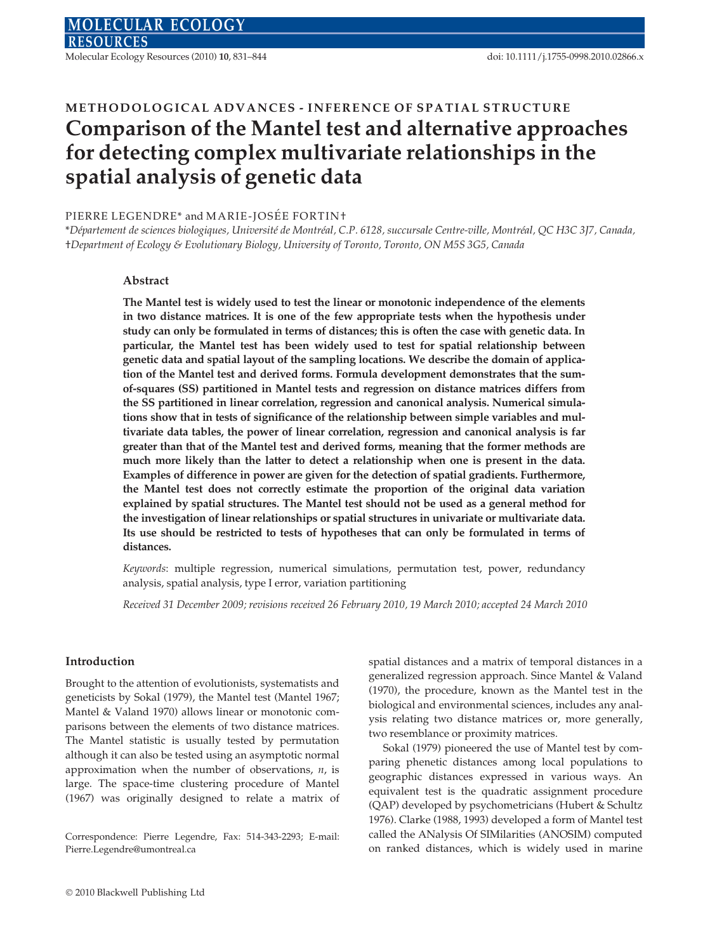Molecular Ecology Resources (2010) 10, 831–844 doi: 10.1111/j.1755-0998.2010.02866.x

# METHODOLOGICAL ADVANCES - INFERENCE OF SPATIAL STRUCTURE Comparison of the Mantel test and alternative approaches for detecting complex multivariate relationships in the spatial analysis of genetic data

# PIERRE LEGENDRE\* and MARIE-JOSÉE FORTIN†

\*De´partement de sciences biologiques, Universite´ de Montre´al, C.P. 6128, succursale Centre-ville, Montre´al, QC H3C 3J7, Canada, †Department of Ecology & Evolutionary Biology, University of Toronto, Toronto, ON M5S 3G5, Canada

## Abstract

The Mantel test is widely used to test the linear or monotonic independence of the elements in two distance matrices. It is one of the few appropriate tests when the hypothesis under study can only be formulated in terms of distances; this is often the case with genetic data. In particular, the Mantel test has been widely used to test for spatial relationship between genetic data and spatial layout of the sampling locations. We describe the domain of application of the Mantel test and derived forms. Formula development demonstrates that the sumof-squares (SS) partitioned in Mantel tests and regression on distance matrices differs from the SS partitioned in linear correlation, regression and canonical analysis. Numerical simulations show that in tests of significance of the relationship between simple variables and multivariate data tables, the power of linear correlation, regression and canonical analysis is far greater than that of the Mantel test and derived forms, meaning that the former methods are much more likely than the latter to detect a relationship when one is present in the data. Examples of difference in power are given for the detection of spatial gradients. Furthermore, the Mantel test does not correctly estimate the proportion of the original data variation explained by spatial structures. The Mantel test should not be used as a general method for the investigation of linear relationships or spatial structures in univariate or multivariate data. Its use should be restricted to tests of hypotheses that can only be formulated in terms of distances.

Keywords: multiple regression, numerical simulations, permutation test, power, redundancy analysis, spatial analysis, type I error, variation partitioning

Received 31 December 2009; revisions received 26 February 2010, 19 March 2010; accepted 24 March 2010

## Introduction

Brought to the attention of evolutionists, systematists and geneticists by Sokal (1979), the Mantel test (Mantel 1967; Mantel & Valand 1970) allows linear or monotonic comparisons between the elements of two distance matrices. The Mantel statistic is usually tested by permutation although it can also be tested using an asymptotic normal approximation when the number of observations,  $n$ , is large. The space-time clustering procedure of Mantel (1967) was originally designed to relate a matrix of

Correspondence: Pierre Legendre, Fax: 514-343-2293; E-mail: Pierre.Legendre@umontreal.ca

spatial distances and a matrix of temporal distances in a generalized regression approach. Since Mantel & Valand (1970), the procedure, known as the Mantel test in the biological and environmental sciences, includes any analysis relating two distance matrices or, more generally, two resemblance or proximity matrices.

Sokal (1979) pioneered the use of Mantel test by comparing phenetic distances among local populations to geographic distances expressed in various ways. An equivalent test is the quadratic assignment procedure (QAP) developed by psychometricians (Hubert & Schultz 1976). Clarke (1988, 1993) developed a form of Mantel test called the ANalysis Of SIMilarities (ANOSIM) computed on ranked distances, which is widely used in marine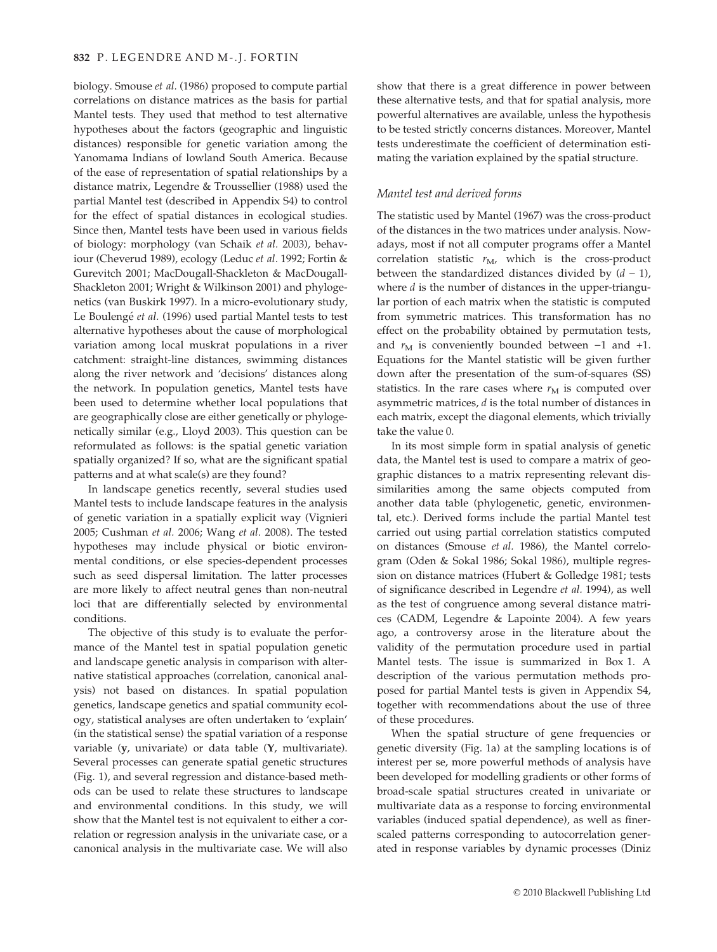biology. Smouse et al. (1986) proposed to compute partial correlations on distance matrices as the basis for partial Mantel tests. They used that method to test alternative hypotheses about the factors (geographic and linguistic distances) responsible for genetic variation among the Yanomama Indians of lowland South America. Because of the ease of representation of spatial relationships by a distance matrix, Legendre & Troussellier (1988) used the partial Mantel test (described in Appendix S4) to control for the effect of spatial distances in ecological studies. Since then, Mantel tests have been used in various fields of biology: morphology (van Schaik et al. 2003), behaviour (Cheverud 1989), ecology (Leduc et al. 1992; Fortin & Gurevitch 2001; MacDougall-Shackleton & MacDougall-Shackleton 2001; Wright & Wilkinson 2001) and phylogenetics (van Buskirk 1997). In a micro-evolutionary study, Le Boulengé et al. (1996) used partial Mantel tests to test alternative hypotheses about the cause of morphological variation among local muskrat populations in a river catchment: straight-line distances, swimming distances along the river network and 'decisions' distances along the network. In population genetics, Mantel tests have been used to determine whether local populations that are geographically close are either genetically or phylogenetically similar (e.g., Lloyd 2003). This question can be reformulated as follows: is the spatial genetic variation spatially organized? If so, what are the significant spatial patterns and at what scale(s) are they found?

In landscape genetics recently, several studies used Mantel tests to include landscape features in the analysis of genetic variation in a spatially explicit way (Vignieri 2005; Cushman et al. 2006; Wang et al. 2008). The tested hypotheses may include physical or biotic environmental conditions, or else species-dependent processes such as seed dispersal limitation. The latter processes are more likely to affect neutral genes than non-neutral loci that are differentially selected by environmental conditions.

The objective of this study is to evaluate the performance of the Mantel test in spatial population genetic and landscape genetic analysis in comparison with alternative statistical approaches (correlation, canonical analysis) not based on distances. In spatial population genetics, landscape genetics and spatial community ecology, statistical analyses are often undertaken to 'explain' (in the statistical sense) the spatial variation of a response variable (y, univariate) or data table (Y, multivariate). Several processes can generate spatial genetic structures (Fig. 1), and several regression and distance-based methods can be used to relate these structures to landscape and environmental conditions. In this study, we will show that the Mantel test is not equivalent to either a correlation or regression analysis in the univariate case, or a canonical analysis in the multivariate case. We will also show that there is a great difference in power between these alternative tests, and that for spatial analysis, more powerful alternatives are available, unless the hypothesis to be tested strictly concerns distances. Moreover, Mantel tests underestimate the coefficient of determination estimating the variation explained by the spatial structure.

## Mantel test and derived forms

The statistic used by Mantel (1967) was the cross-product of the distances in the two matrices under analysis. Nowadays, most if not all computer programs offer a Mantel correlation statistic  $r_M$ , which is the cross-product between the standardized distances divided by  $(d - 1)$ , where  $d$  is the number of distances in the upper-triangular portion of each matrix when the statistic is computed from symmetric matrices. This transformation has no effect on the probability obtained by permutation tests, and  $r_M$  is conveniently bounded between -1 and +1. Equations for the Mantel statistic will be given further down after the presentation of the sum-of-squares (SS) statistics. In the rare cases where  $r_M$  is computed over asymmetric matrices, d is the total number of distances in each matrix, except the diagonal elements, which trivially take the value 0.

In its most simple form in spatial analysis of genetic data, the Mantel test is used to compare a matrix of geographic distances to a matrix representing relevant dissimilarities among the same objects computed from another data table (phylogenetic, genetic, environmental, etc.). Derived forms include the partial Mantel test carried out using partial correlation statistics computed on distances (Smouse et al. 1986), the Mantel correlogram (Oden & Sokal 1986; Sokal 1986), multiple regression on distance matrices (Hubert & Golledge 1981; tests of significance described in Legendre et al. 1994), as well as the test of congruence among several distance matrices (CADM, Legendre & Lapointe 2004). A few years ago, a controversy arose in the literature about the validity of the permutation procedure used in partial Mantel tests. The issue is summarized in Box 1. A description of the various permutation methods proposed for partial Mantel tests is given in Appendix S4, together with recommendations about the use of three of these procedures.

When the spatial structure of gene frequencies or genetic diversity (Fig. 1a) at the sampling locations is of interest per se, more powerful methods of analysis have been developed for modelling gradients or other forms of broad-scale spatial structures created in univariate or multivariate data as a response to forcing environmental variables (induced spatial dependence), as well as finerscaled patterns corresponding to autocorrelation generated in response variables by dynamic processes (Diniz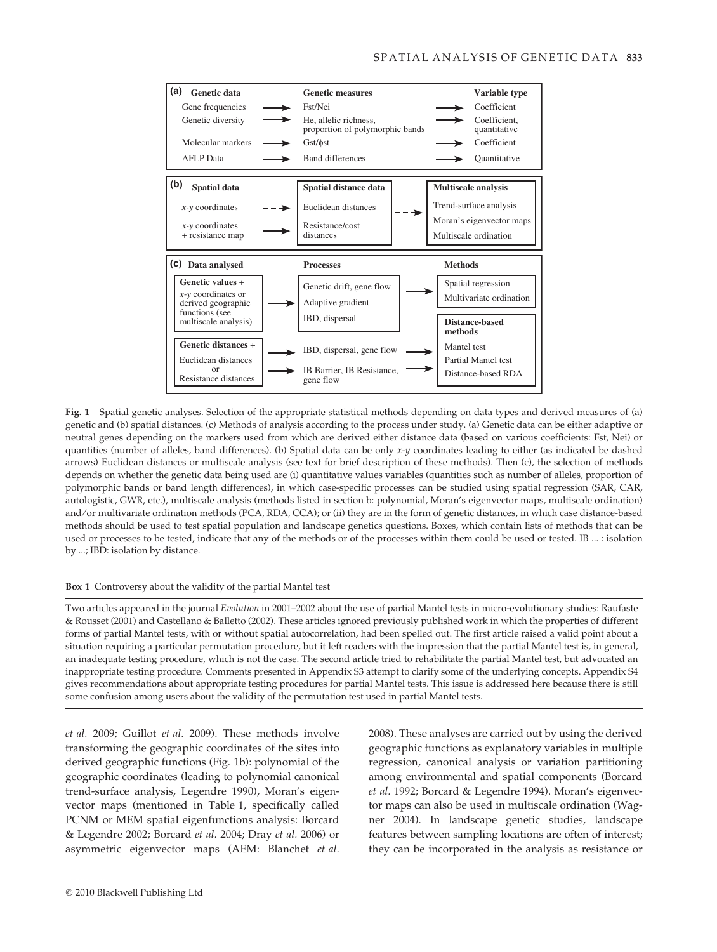

Fig. 1 Spatial genetic analyses. Selection of the appropriate statistical methods depending on data types and derived measures of (a) genetic and (b) spatial distances. (c) Methods of analysis according to the process under study. (a) Genetic data can be either adaptive or neutral genes depending on the markers used from which are derived either distance data (based on various coefficients: Fst, Nei) or quantities (number of alleles, band differences). (b) Spatial data can be only  $x-y$  coordinates leading to either (as indicated be dashed arrows) Euclidean distances or multiscale analysis (see text for brief description of these methods). Then (c), the selection of methods depends on whether the genetic data being used are (i) quantitative values variables (quantities such as number of alleles, proportion of polymorphic bands or band length differences), in which case-specific processes can be studied using spatial regression (SAR, CAR, autologistic, GWR, etc.), multiscale analysis (methods listed in section b: polynomial, Moran's eigenvector maps, multiscale ordination) and ⁄ or multivariate ordination methods (PCA, RDA, CCA); or (ii) they are in the form of genetic distances, in which case distance-based methods should be used to test spatial population and landscape genetics questions. Boxes, which contain lists of methods that can be used or processes to be tested, indicate that any of the methods or of the processes within them could be used or tested. IB ... : isolation by ...; IBD: isolation by distance.

#### Box 1 Controversy about the validity of the partial Mantel test

Two articles appeared in the journal Evolution in 2001–2002 about the use of partial Mantel tests in micro-evolutionary studies: Raufaste & Rousset (2001) and Castellano & Balletto (2002). These articles ignored previously published work in which the properties of different forms of partial Mantel tests, with or without spatial autocorrelation, had been spelled out. The first article raised a valid point about a situation requiring a particular permutation procedure, but it left readers with the impression that the partial Mantel test is, in general, an inadequate testing procedure, which is not the case. The second article tried to rehabilitate the partial Mantel test, but advocated an inappropriate testing procedure. Comments presented in Appendix S3 attempt to clarify some of the underlying concepts. Appendix S4 gives recommendations about appropriate testing procedures for partial Mantel tests. This issue is addressed here because there is still some confusion among users about the validity of the permutation test used in partial Mantel tests.

et al. 2009; Guillot et al. 2009). These methods involve transforming the geographic coordinates of the sites into derived geographic functions (Fig. 1b): polynomial of the geographic coordinates (leading to polynomial canonical trend-surface analysis, Legendre 1990), Moran's eigenvector maps (mentioned in Table 1, specifically called PCNM or MEM spatial eigenfunctions analysis: Borcard & Legendre 2002; Borcard et al. 2004; Dray et al. 2006) or asymmetric eigenvector maps (AEM: Blanchet et al.

2008). These analyses are carried out by using the derived geographic functions as explanatory variables in multiple regression, canonical analysis or variation partitioning among environmental and spatial components (Borcard et al. 1992; Borcard & Legendre 1994). Moran's eigenvector maps can also be used in multiscale ordination (Wagner 2004). In landscape genetic studies, landscape features between sampling locations are often of interest; they can be incorporated in the analysis as resistance or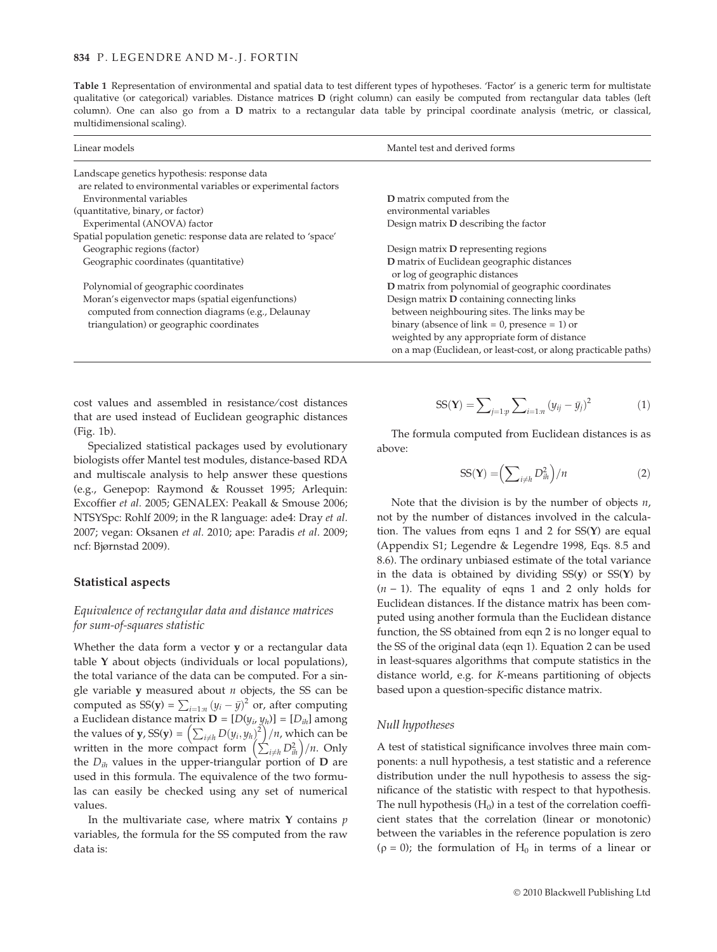Table 1 Representation of environmental and spatial data to test different types of hypotheses. 'Factor' is a generic term for multistate qualitative (or categorical) variables. Distance matrices D (right column) can easily be computed from rectangular data tables (left column). One can also go from a D matrix to a rectangular data table by principal coordinate analysis (metric, or classical, multidimensional scaling).

| Linear models                                                    | Mantel test and derived forms                                   |
|------------------------------------------------------------------|-----------------------------------------------------------------|
| Landscape genetics hypothesis: response data                     |                                                                 |
| are related to environmental variables or experimental factors   |                                                                 |
| Environmental variables                                          | D matrix computed from the                                      |
| (quantitative, binary, or factor)                                | environmental variables                                         |
| Experimental (ANOVA) factor                                      | Design matrix <b>D</b> describing the factor                    |
| Spatial population genetic: response data are related to 'space' |                                                                 |
| Geographic regions (factor)                                      | Design matrix <b>D</b> representing regions                     |
| Geographic coordinates (quantitative)                            | D matrix of Euclidean geographic distances                      |
|                                                                  | or log of geographic distances                                  |
| Polynomial of geographic coordinates                             | D matrix from polynomial of geographic coordinates              |
| Moran's eigenvector maps (spatial eigenfunctions)                | Design matrix <b>D</b> containing connecting links              |
| computed from connection diagrams (e.g., Delaunay                | between neighbouring sites. The links may be                    |
| triangulation) or geographic coordinates                         | binary (absence of link = $0$ , presence = 1) or                |
|                                                                  | weighted by any appropriate form of distance                    |
|                                                                  | on a map (Euclidean, or least-cost, or along practicable paths) |

cost values and assembled in resistance/cost distances that are used instead of Euclidean geographic distances (Fig. 1b).

Specialized statistical packages used by evolutionary biologists offer Mantel test modules, distance-based RDA and multiscale analysis to help answer these questions (e.g., Genepop: Raymond & Rousset 1995; Arlequin: Excoffier et al. 2005; GENALEX: Peakall & Smouse 2006; NTSYSpc: Rohlf 2009; in the R language: ade4: Dray et al. 2007; vegan: Oksanen et al. 2010; ape: Paradis et al. 2009; ncf: Bjørnstad 2009).

#### Statistical aspects

# Equivalence of rectangular data and distance matrices for sum-of-squares statistic

Whether the data form a vector y or a rectangular data table Y about objects (individuals or local populations), the total variance of the data can be computed. For a single variable  $y$  measured about  $n$  objects, the SS can be computed as SS(y) =  $\sum_{i=1:n} (y_i - \bar{y})^2$  or, after computing a Euclidean distance matrix  $\mathbf{D} = [D(y_i, y_h)] = [D_{ih}]$  among the values of **y**, SS(**y**) =  $\left(\sum_{i\neq h} D(y_i, y_h)\right) = [D(y_i, y_h)]$ <br>the values of **y**, SS(**y**) =  $\left(\sum_{i\neq h} D(y_i, y_h)\right)^2\right)/n$ , which can be the values of y,  $33(y) = (\sum_{i \neq h} D(y_i, y_h)) / h$ , which can be<br>written in the more compact form  $(\sum_{i \neq h} D_{ih}^2) / n$ . Only the  $D_{ih}$  values in the upper-triangular portion of **D** are used in this formula. The equivalence of the two formulas can easily be checked using any set of numerical values.

In the multivariate case, where matrix  $Y$  contains  $p$ variables, the formula for the SS computed from the raw data is:

$$
SS(\mathbf{Y}) = \sum_{j=1:p} \sum_{i=1:n} (y_{ij} - \bar{y}_j)^2
$$
 (1)

The formula computed from Euclidean distances is as above:

$$
SS(\mathbf{Y}) = \left(\sum_{i \neq h} D_{ih}^2\right) / n \tag{2}
$$

Note that the division is by the number of objects  $n$ , not by the number of distances involved in the calculation. The values from eqns 1 and 2 for SS(Y) are equal (Appendix S1; Legendre & Legendre 1998, Eqs. 8.5 and 8.6). The ordinary unbiased estimate of the total variance in the data is obtained by dividing  $SS(y)$  or  $SS(Y)$  by  $(n - 1)$ . The equality of eqns 1 and 2 only holds for Euclidean distances. If the distance matrix has been computed using another formula than the Euclidean distance function, the SS obtained from eqn 2 is no longer equal to the SS of the original data (eqn 1). Equation 2 can be used in least-squares algorithms that compute statistics in the distance world, e.g. for K-means partitioning of objects based upon a question-specific distance matrix.

#### Null hypotheses

A test of statistical significance involves three main components: a null hypothesis, a test statistic and a reference distribution under the null hypothesis to assess the significance of the statistic with respect to that hypothesis. The null hypothesis  $(H_0)$  in a test of the correlation coefficient states that the correlation (linear or monotonic) between the variables in the reference population is zero ( $\rho = 0$ ); the formulation of H<sub>0</sub> in terms of a linear or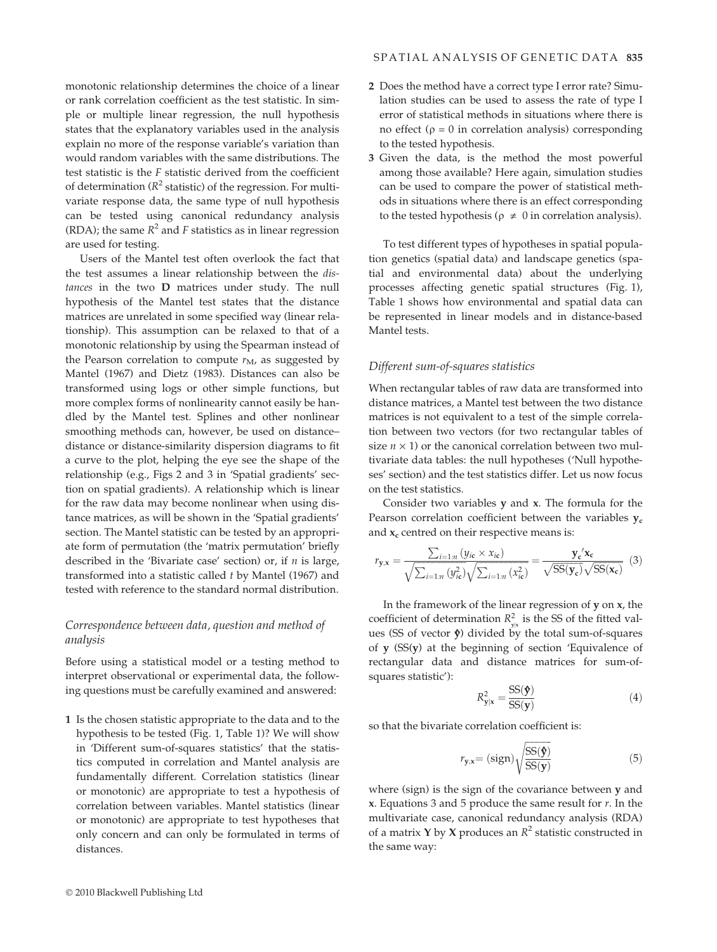monotonic relationship determines the choice of a linear or rank correlation coefficient as the test statistic. In simple or multiple linear regression, the null hypothesis states that the explanatory variables used in the analysis explain no more of the response variable's variation than would random variables with the same distributions. The test statistic is the F statistic derived from the coefficient of determination ( $R^2$  statistic) of the regression. For multivariate response data, the same type of null hypothesis can be tested using canonical redundancy analysis (RDA); the same  $R^2$  and F statistics as in linear regression are used for testing.

Users of the Mantel test often overlook the fact that the test assumes a linear relationship between the distances in the two D matrices under study. The null hypothesis of the Mantel test states that the distance matrices are unrelated in some specified way (linear relationship). This assumption can be relaxed to that of a monotonic relationship by using the Spearman instead of the Pearson correlation to compute  $r_M$ , as suggested by Mantel (1967) and Dietz (1983). Distances can also be transformed using logs or other simple functions, but more complex forms of nonlinearity cannot easily be handled by the Mantel test. Splines and other nonlinear smoothing methods can, however, be used on distance– distance or distance-similarity dispersion diagrams to fit a curve to the plot, helping the eye see the shape of the relationship (e.g., Figs 2 and 3 in 'Spatial gradients' section on spatial gradients). A relationship which is linear for the raw data may become nonlinear when using distance matrices, as will be shown in the 'Spatial gradients' section. The Mantel statistic can be tested by an appropriate form of permutation (the 'matrix permutation' briefly described in the 'Bivariate case' section) or, if  $n$  is large, transformed into a statistic called t by Mantel (1967) and tested with reference to the standard normal distribution.

# Correspondence between data, question and method of analysis

Before using a statistical model or a testing method to interpret observational or experimental data, the following questions must be carefully examined and answered:

- 1 Is the chosen statistic appropriate to the data and to the hypothesis to be tested (Fig. 1, Table 1)? We will show in 'Different sum-of-squares statistics' that the statistics computed in correlation and Mantel analysis are fundamentally different. Correlation statistics (linear or monotonic) are appropriate to test a hypothesis of correlation between variables. Mantel statistics (linear or monotonic) are appropriate to test hypotheses that only concern and can only be formulated in terms of distances.
- 2010 Blackwell Publishing Ltd
- 2 Does the method have a correct type I error rate? Simulation studies can be used to assess the rate of type I error of statistical methods in situations where there is no effect ( $\rho = 0$  in correlation analysis) corresponding to the tested hypothesis.
- 3 Given the data, is the method the most powerful among those available? Here again, simulation studies can be used to compare the power of statistical methods in situations where there is an effect corresponding to the tested hypothesis ( $\rho \neq 0$  in correlation analysis).

To test different types of hypotheses in spatial population genetics (spatial data) and landscape genetics (spatial and environmental data) about the underlying processes affecting genetic spatial structures (Fig. 1), Table 1 shows how environmental and spatial data can be represented in linear models and in distance-based Mantel tests.

### Different sum-of-squares statistics

When rectangular tables of raw data are transformed into distance matrices, a Mantel test between the two distance matrices is not equivalent to a test of the simple correlation between two vectors (for two rectangular tables of size  $n \times 1$ ) or the canonical correlation between two multivariate data tables: the null hypotheses ('Null hypotheses' section) and the test statistics differ. Let us now focus on the test statistics.

Consider two variables y and x. The formula for the Pearson correlation coefficient between the variables  $y_c$ and  $x_c$  centred on their respective means is:

$$
r_{\mathbf{y},\mathbf{x}} = \frac{\sum_{i=1:n} (y_{\mathbf{i}c} \times x_{\mathbf{i}c})}{\sqrt{\sum_{i=1:n} (y_{\mathbf{i}c}^2)} \sqrt{\sum_{i=1:n} (x_{\mathbf{i}c}^2)}} = \frac{\mathbf{y_c}' \mathbf{x_c}}{\sqrt{\text{SS}(\mathbf{y_c})} \sqrt{\text{SS}(\mathbf{x_c})}} \tag{3}
$$

In the framework of the linear regression of y on x, the coefficient of determination  $R_{y|x}^2$  is the SS of the fitted values (SS of vector  $\hat{\mathbf{y}}$ ) divided by the total sum-of-squares of y (SS(y) at the beginning of section 'Equivalence of rectangular data and distance matrices for sum-ofsquares statistic'):

$$
R_{\mathbf{y}|\mathbf{x}}^2 = \frac{\text{SS}(\mathbf{\hat{y}})}{\text{SS}(\mathbf{y})}
$$
(4)

so that the bivariate correlation coefficient is:

$$
r_{y,x} = (\text{sign})\sqrt{\frac{\text{SS}(\hat{\mathbf{y}})}{\text{SS}(\mathbf{y})}}
$$
(5)

where (sign) is the sign of the covariance between y and  $x.$  Equations 3 and 5 produce the same result for  $r.$  In the multivariate case, canonical redundancy analysis (RDA) of a matrix **Y** by **X** produces an  $R^2$  statistic constructed in the same way: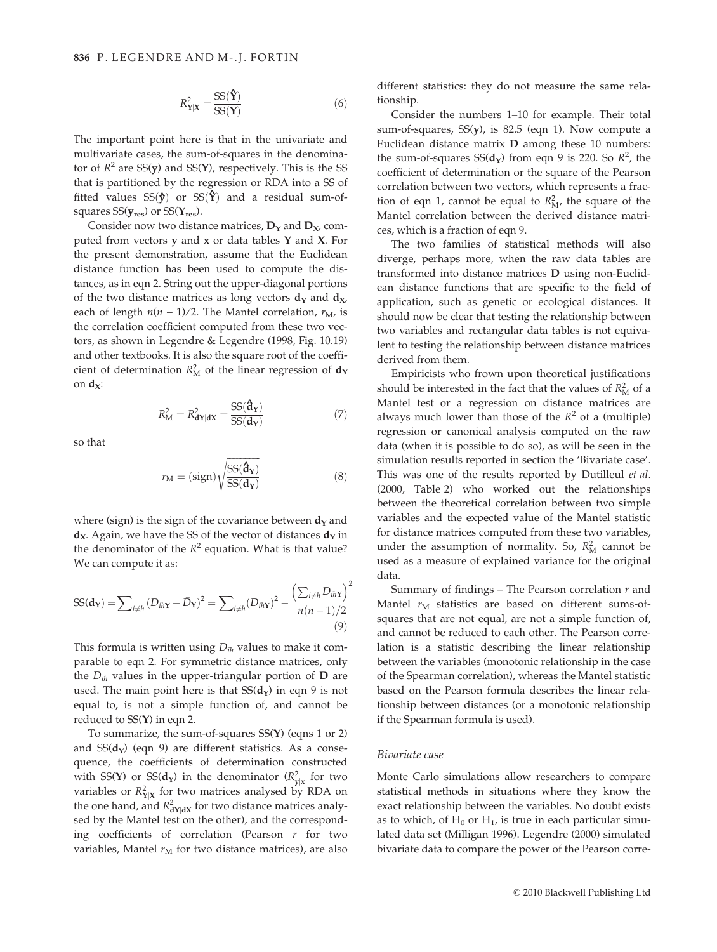$$
R_{\mathbf{Y}|\mathbf{X}}^2 = \frac{\text{SS}(\mathbf{\hat{Y}})}{\text{SS}(\mathbf{Y})}
$$
 (6)

The important point here is that in the univariate and multivariate cases, the sum-of-squares in the denominator of  $R^2$  are SS(y) and SS(Y), respectively. This is the SS that is partitioned by the regression or RDA into a SS of fitted values  $SS(\hat{y})$  or  $SS(\hat{Y})$  and a residual sum-ofsquares  $SS(y_{res})$  or  $SS(Y_{res})$ .

Consider now two distance matrices,  $D_Y$  and  $D_X$ , computed from vectors  $y$  and  $x$  or data tables  $Y$  and  $X$ . For the present demonstration, assume that the Euclidean distance function has been used to compute the distances, as in eqn 2. String out the upper-diagonal portions of the two distance matrices as long vectors  $d_Y$  and  $d_X$ , each of length  $n(n - 1)/2$ . The Mantel correlation,  $r_M$ , is the correlation coefficient computed from these two vectors, as shown in Legendre & Legendre (1998, Fig. 10.19) and other textbooks. It is also the square root of the coefficient of determination  $R_{\rm M}^2$  of the linear regression of  $\mathbf{d}_{\mathbf{Y}}$ on  $d_X$ :

$$
R_{\rm M}^2 = R_{\rm dY|dX}^2 = \frac{\rm{SS}(\hat{d}_Y)}{\rm{SS}(\rm{d}_Y)}\tag{7}
$$

so that

$$
r_{\rm M} = (\text{sign}) \sqrt{\frac{\text{SS}(\mathbf{\hat{d}}_Y)}{\text{SS}(\mathbf{d}_Y)}} \tag{8}
$$

where (sign) is the sign of the covariance between  $d_Y$  and  $d_X$ . Again, we have the SS of the vector of distances  $d_Y$  in the denominator of the  $R^2$  equation. What is that value? We can compute it as:

$$
SS(\mathbf{d}_{\mathbf{Y}}) = \sum_{i \neq h} (D_{ih\mathbf{Y}} - \bar{D}_{\mathbf{Y}})^2 = \sum_{i \neq h} (D_{ih\mathbf{Y}})^2 - \frac{\left(\sum_{i \neq h} D_{ih\mathbf{Y}}\right)^2}{n(n-1)/2}
$$
\n(9)

This formula is written using  $D_{ih}$  values to make it comparable to eqn 2. For symmetric distance matrices, only the  $D_{ih}$  values in the upper-triangular portion of **D** are used. The main point here is that  $SS(d<sub>Y</sub>)$  in eqn 9 is not equal to, is not a simple function of, and cannot be reduced to SS(Y) in eqn 2.

To summarize, the sum-of-squares SS(Y) (eqns 1 or 2) and  $SS(d<sub>Y</sub>)$  (eqn 9) are different statistics. As a consequence, the coefficients of determination constructed with SS(**Y**) or SS(**d**<sub>**Y**</sub>) in the denominator ( $R_{y|x}^2$  for two variables or  $R^2_{Y|X}$  for two matrices analysed by RDA on the one hand, and  $R_{dY|dX}^2$  for two distance matrices analysed by the Mantel test on the other), and the corresponding coefficients of correlation (Pearson  $r$  for two variables, Mantel  $r_M$  for two distance matrices), are also different statistics: they do not measure the same relationship.

Consider the numbers 1–10 for example. Their total sum-of-squares,  $SS(y)$ , is 82.5 (eqn 1). Now compute a Euclidean distance matrix D among these 10 numbers: the sum-of-squares  $SS(d_Y)$  from eqn 9 is 220. So  $R^2$ , the coefficient of determination or the square of the Pearson correlation between two vectors, which represents a fraction of eqn 1, cannot be equal to  $R<sub>M</sub><sup>2</sup>$ , the square of the Mantel correlation between the derived distance matrices, which is a fraction of eqn 9.

The two families of statistical methods will also diverge, perhaps more, when the raw data tables are transformed into distance matrices D using non-Euclidean distance functions that are specific to the field of application, such as genetic or ecological distances. It should now be clear that testing the relationship between two variables and rectangular data tables is not equivalent to testing the relationship between distance matrices derived from them.

Empiricists who frown upon theoretical justifications should be interested in the fact that the values of  $R_M^2$  of a Mantel test or a regression on distance matrices are always much lower than those of the  $R^2$  of a (multiple) regression or canonical analysis computed on the raw data (when it is possible to do so), as will be seen in the simulation results reported in section the 'Bivariate case'. This was one of the results reported by Dutilleul et al. (2000, Table 2) who worked out the relationships between the theoretical correlation between two simple variables and the expected value of the Mantel statistic for distance matrices computed from these two variables, under the assumption of normality. So,  $R_M^2$  cannot be used as a measure of explained variance for the original data.

Summary of findings – The Pearson correlation  $r$  and Mantel  $r_M$  statistics are based on different sums-ofsquares that are not equal, are not a simple function of, and cannot be reduced to each other. The Pearson correlation is a statistic describing the linear relationship between the variables (monotonic relationship in the case of the Spearman correlation), whereas the Mantel statistic based on the Pearson formula describes the linear relationship between distances (or a monotonic relationship if the Spearman formula is used).

#### Bivariate case

Monte Carlo simulations allow researchers to compare statistical methods in situations where they know the exact relationship between the variables. No doubt exists as to which, of  $H_0$  or  $H_1$ , is true in each particular simulated data set (Milligan 1996). Legendre (2000) simulated bivariate data to compare the power of the Pearson corre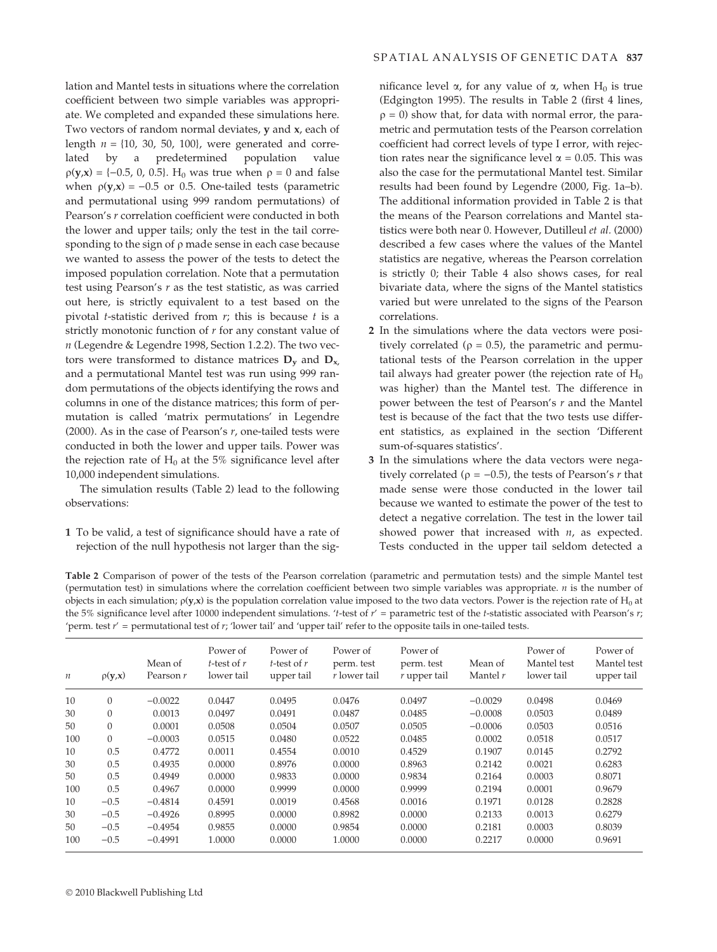lation and Mantel tests in situations where the correlation coefficient between two simple variables was appropriate. We completed and expanded these simulations here. Two vectors of random normal deviates, y and x, each of length  $n = \{10, 30, 50, 100\}$ , were generated and correlated by a predetermined population value  $p(y,x) = \{-0.5, 0, 0.5\}$ . H<sub>0</sub> was true when  $p = 0$  and false when  $p(y,x) = -0.5$  or 0.5. One-tailed tests (parametric and permutational using 999 random permutations) of Pearson's r correlation coefficient were conducted in both the lower and upper tails; only the test in the tail corresponding to the sign of  $\rho$  made sense in each case because we wanted to assess the power of the tests to detect the imposed population correlation. Note that a permutation test using Pearson's r as the test statistic, as was carried out here, is strictly equivalent to a test based on the pivotal *t*-statistic derived from  $r$ ; this is because  $t$  is a strictly monotonic function of r for any constant value of n (Legendre & Legendre 1998, Section 1.2.2). The two vectors were transformed to distance matrices  $D_v$  and  $D_x$ , and a permutational Mantel test was run using 999 random permutations of the objects identifying the rows and columns in one of the distance matrices; this form of permutation is called 'matrix permutations' in Legendre (2000). As in the case of Pearson's  $r$ , one-tailed tests were conducted in both the lower and upper tails. Power was the rejection rate of  $H_0$  at the 5% significance level after 10,000 independent simulations.

The simulation results (Table 2) lead to the following observations:

1 To be valid, a test of significance should have a rate of rejection of the null hypothesis not larger than the significance level  $\alpha$ , for any value of  $\alpha$ , when H<sub>0</sub> is true (Edgington 1995). The results in Table 2 (first 4 lines,  $\rho = 0$ ) show that, for data with normal error, the parametric and permutation tests of the Pearson correlation coefficient had correct levels of type I error, with rejection rates near the significance level  $\alpha = 0.05$ . This was also the case for the permutational Mantel test. Similar results had been found by Legendre (2000, Fig. 1a–b). The additional information provided in Table 2 is that the means of the Pearson correlations and Mantel statistics were both near 0. However, Dutilleul et al. (2000) described a few cases where the values of the Mantel statistics are negative, whereas the Pearson correlation is strictly 0; their Table 4 also shows cases, for real bivariate data, where the signs of the Mantel statistics varied but were unrelated to the signs of the Pearson correlations.

- 2 In the simulations where the data vectors were positively correlated ( $\rho = 0.5$ ), the parametric and permutational tests of the Pearson correlation in the upper tail always had greater power (the rejection rate of  $H_0$ was higher) than the Mantel test. The difference in power between the test of Pearson's r and the Mantel test is because of the fact that the two tests use different statistics, as explained in the section 'Different sum-of-squares statistics'.
- 3 In the simulations where the data vectors were negatively correlated ( $\rho = -0.5$ ), the tests of Pearson's r that made sense were those conducted in the lower tail because we wanted to estimate the power of the test to detect a negative correlation. The test in the lower tail showed power that increased with  $n$ , as expected. Tests conducted in the upper tail seldom detected a

Table 2 Comparison of power of the tests of the Pearson correlation (parametric and permutation tests) and the simple Mantel test (permutation test) in simulations where the correlation coefficient between two simple variables was appropriate. n is the number of objects in each simulation;  $p(y,x)$  is the population correlation value imposed to the two data vectors. Power is the rejection rate of H<sub>0</sub> at the 5% significance level after 10000 independent simulations. 't-test of  $r'$  = parametric test of the t-statistic associated with Pearson's  $r_i$ 'perm. test  $r'$  = permutational test of  $r$ ; 'lower tail' and 'upper tail' refer to the opposite tails in one-tailed tests.

| $\boldsymbol{n}$ | $\rho(y,x)$ | Mean of<br>Pearson r | Power of<br>$t$ -test of $r$<br>lower tail | Power of<br>$t$ -test of $r$<br>upper tail | Power of<br>perm. test<br>r lower tail | Power of<br>perm. test<br>$r$ upper tail | Mean of<br>Mantel $r$ | Power of<br>Mantel test<br>lower tail | Power of<br>Mantel test<br>upper tail |
|------------------|-------------|----------------------|--------------------------------------------|--------------------------------------------|----------------------------------------|------------------------------------------|-----------------------|---------------------------------------|---------------------------------------|
| 10               | $\Omega$    | $-0.0022$            | 0.0447                                     | 0.0495                                     | 0.0476                                 | 0.0497                                   | $-0.0029$             | 0.0498                                | 0.0469                                |
| 30               | $\Omega$    | 0.0013               | 0.0497                                     | 0.0491                                     | 0.0487                                 | 0.0485                                   | $-0.0008$             | 0.0503                                | 0.0489                                |
| 50               | 0           | 0.0001               | 0.0508                                     | 0.0504                                     | 0.0507                                 | 0.0505                                   | $-0.0006$             | 0.0503                                | 0.0516                                |
| 100              | $\Omega$    | $-0.0003$            | 0.0515                                     | 0.0480                                     | 0.0522                                 | 0.0485                                   | 0.0002                | 0.0518                                | 0.0517                                |
| 10               | 0.5         | 0.4772               | 0.0011                                     | 0.4554                                     | 0.0010                                 | 0.4529                                   | 0.1907                | 0.0145                                | 0.2792                                |
| 30               | 0.5         | 0.4935               | 0.0000                                     | 0.8976                                     | 0.0000                                 | 0.8963                                   | 0.2142                | 0.0021                                | 0.6283                                |
| 50               | 0.5         | 0.4949               | 0.0000                                     | 0.9833                                     | 0.0000                                 | 0.9834                                   | 0.2164                | 0.0003                                | 0.8071                                |
| 100              | 0.5         | 0.4967               | 0.0000                                     | 0.9999                                     | 0.0000                                 | 0.9999                                   | 0.2194                | 0.0001                                | 0.9679                                |
| 10               | $-0.5$      | $-0.4814$            | 0.4591                                     | 0.0019                                     | 0.4568                                 | 0.0016                                   | 0.1971                | 0.0128                                | 0.2828                                |
| 30               | $-0.5$      | $-0.4926$            | 0.8995                                     | 0.0000                                     | 0.8982                                 | 0.0000                                   | 0.2133                | 0.0013                                | 0.6279                                |
| 50               | $-0.5$      | $-0.4954$            | 0.9855                                     | 0.0000                                     | 0.9854                                 | 0.0000                                   | 0.2181                | 0.0003                                | 0.8039                                |
| 100              | $-0.5$      | $-0.4991$            | 1.0000                                     | 0.0000                                     | 1.0000                                 | 0.0000                                   | 0.2217                | 0.0000                                | 0.9691                                |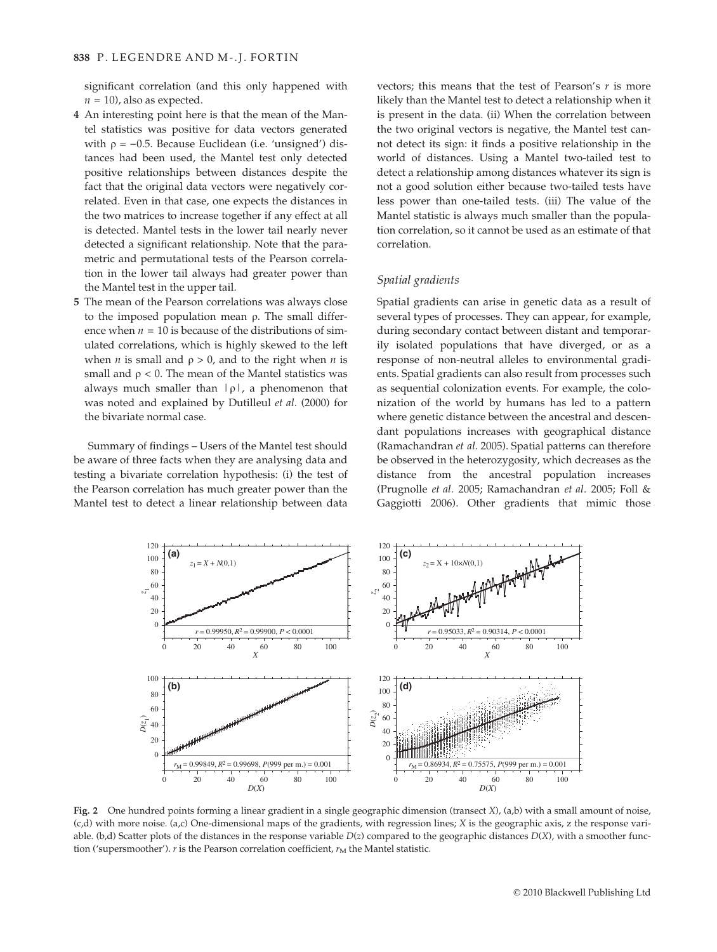significant correlation (and this only happened with  $n = 10$ , also as expected.

- 4 An interesting point here is that the mean of the Mantel statistics was positive for data vectors generated with  $\rho = -0.5$ . Because Euclidean (i.e. 'unsigned') distances had been used, the Mantel test only detected positive relationships between distances despite the fact that the original data vectors were negatively correlated. Even in that case, one expects the distances in the two matrices to increase together if any effect at all is detected. Mantel tests in the lower tail nearly never detected a significant relationship. Note that the parametric and permutational tests of the Pearson correlation in the lower tail always had greater power than the Mantel test in the upper tail.
- 5 The mean of the Pearson correlations was always close to the imposed population mean q. The small difference when  $n = 10$  is because of the distributions of simulated correlations, which is highly skewed to the left when *n* is small and  $\rho > 0$ , and to the right when *n* is small and  $\rho < 0$ . The mean of the Mantel statistics was always much smaller than  $|p|$ , a phenomenon that was noted and explained by Dutilleul et al. (2000) for the bivariate normal case.

Summary of findings – Users of the Mantel test should be aware of three facts when they are analysing data and testing a bivariate correlation hypothesis: (i) the test of the Pearson correlation has much greater power than the Mantel test to detect a linear relationship between data

vectors; this means that the test of Pearson's  $r$  is more likely than the Mantel test to detect a relationship when it is present in the data. (ii) When the correlation between the two original vectors is negative, the Mantel test cannot detect its sign: it finds a positive relationship in the world of distances. Using a Mantel two-tailed test to detect a relationship among distances whatever its sign is not a good solution either because two-tailed tests have less power than one-tailed tests. (iii) The value of the Mantel statistic is always much smaller than the population correlation, so it cannot be used as an estimate of that correlation.

## Spatial gradients

Spatial gradients can arise in genetic data as a result of several types of processes. They can appear, for example, during secondary contact between distant and temporarily isolated populations that have diverged, or as a response of non-neutral alleles to environmental gradients. Spatial gradients can also result from processes such as sequential colonization events. For example, the colonization of the world by humans has led to a pattern where genetic distance between the ancestral and descendant populations increases with geographical distance (Ramachandran et al. 2005). Spatial patterns can therefore be observed in the heterozygosity, which decreases as the distance from the ancestral population increases (Prugnolle et al. 2005; Ramachandran et al. 2005; Foll & Gaggiotti 2006). Other gradients that mimic those



Fig. 2 One hundred points forming a linear gradient in a single geographic dimension (transect  $X$ ), (a,b) with a small amount of noise, (c,d) with more noise. (a,c) One-dimensional maps of the gradients, with regression lines; X is the geographic axis, z the response variable. (b,d) Scatter plots of the distances in the response variable  $D(z)$  compared to the geographic distances  $D(X)$ , with a smoother function ('supersmoother'). *r* is the Pearson correlation coefficient,  $r<sub>M</sub>$  the Mantel statistic.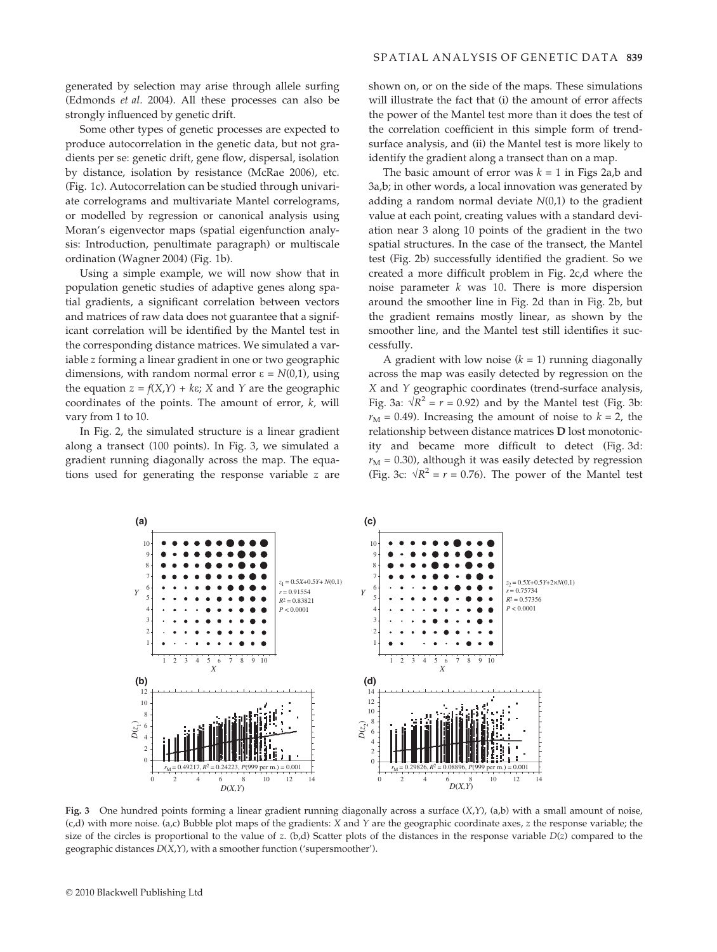generated by selection may arise through allele surfing (Edmonds et al. 2004). All these processes can also be strongly influenced by genetic drift.

Some other types of genetic processes are expected to produce autocorrelation in the genetic data, but not gradients per se: genetic drift, gene flow, dispersal, isolation by distance, isolation by resistance (McRae 2006), etc. (Fig. 1c). Autocorrelation can be studied through univariate correlograms and multivariate Mantel correlograms, or modelled by regression or canonical analysis using Moran's eigenvector maps (spatial eigenfunction analysis: Introduction, penultimate paragraph) or multiscale ordination (Wagner 2004) (Fig. 1b).

Using a simple example, we will now show that in population genetic studies of adaptive genes along spatial gradients, a significant correlation between vectors and matrices of raw data does not guarantee that a significant correlation will be identified by the Mantel test in the corresponding distance matrices. We simulated a variable z forming a linear gradient in one or two geographic dimensions, with random normal error  $\varepsilon = N(0,1)$ , using the equation  $z = f(X,Y) + k\varepsilon$ ; X and Y are the geographic coordinates of the points. The amount of error, k, will vary from 1 to 10.

In Fig. 2, the simulated structure is a linear gradient along a transect (100 points). In Fig. 3, we simulated a gradient running diagonally across the map. The equations used for generating the response variable z are shown on, or on the side of the maps. These simulations will illustrate the fact that (i) the amount of error affects the power of the Mantel test more than it does the test of the correlation coefficient in this simple form of trendsurface analysis, and (ii) the Mantel test is more likely to identify the gradient along a transect than on a map.

The basic amount of error was  $k = 1$  in Figs 2a,b and 3a,b; in other words, a local innovation was generated by adding a random normal deviate  $N(0,1)$  to the gradient value at each point, creating values with a standard deviation near 3 along 10 points of the gradient in the two spatial structures. In the case of the transect, the Mantel test (Fig. 2b) successfully identified the gradient. So we created a more difficult problem in Fig. 2c,d where the noise parameter  $k$  was 10. There is more dispersion around the smoother line in Fig. 2d than in Fig. 2b, but the gradient remains mostly linear, as shown by the smoother line, and the Mantel test still identifies it successfully.

A gradient with low noise  $(k = 1)$  running diagonally across the map was easily detected by regression on the X and Y geographic coordinates (trend-surface analysis, Fig. 3a:  $\sqrt{R^2} = r = 0.92$ ) and by the Mantel test (Fig. 3b:  $r<sub>M</sub> = 0.49$ ). Increasing the amount of noise to  $k = 2$ , the relationship between distance matrices D lost monotonicity and became more difficult to detect (Fig. 3d:  $r_M$  = 0.30), although it was easily detected by regression (Fig. 3c:  $\sqrt{R^2} = r = 0.76$ ). The power of the Mantel test



Fig. 3 One hundred points forming a linear gradient running diagonally across a surface  $(X,Y)$ , (a,b) with a small amount of noise,  $(c,d)$  with more noise. (a,c) Bubble plot maps of the gradients: X and Y are the geographic coordinate axes, z the response variable; the size of the circles is proportional to the value of z.  $(b,d)$  Scatter plots of the distances in the response variable  $D(z)$  compared to the geographic distances  $D(X,Y)$ , with a smoother function ('supersmoother').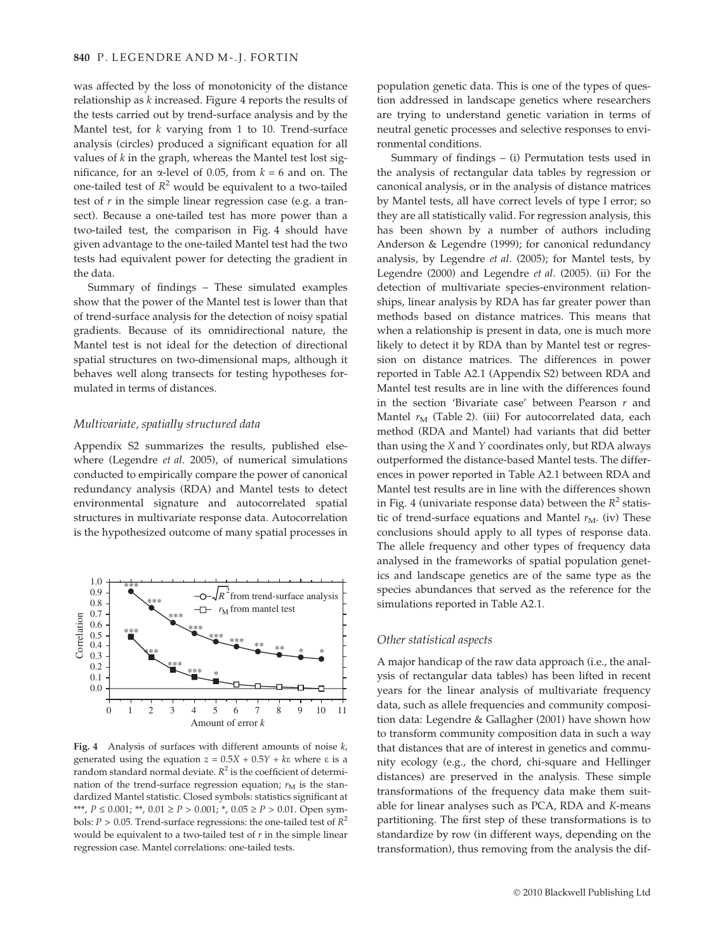was affected by the loss of monotonicity of the distance relationship as k increased. Figure 4 reports the results of the tests carried out by trend-surface analysis and by the Mantel test, for k varying from 1 to 10. Trend-surface analysis (circles) produced a significant equation for all values of  $k$  in the graph, whereas the Mantel test lost significance, for an  $\alpha$ -level of 0.05, from  $k = 6$  and on. The one-tailed test of  $R^2$  would be equivalent to a two-tailed test of  $r$  in the simple linear regression case (e.g. a transect). Because a one-tailed test has more power than a two-tailed test, the comparison in Fig. 4 should have given advantage to the one-tailed Mantel test had the two tests had equivalent power for detecting the gradient in the data.

Summary of findings – These simulated examples show that the power of the Mantel test is lower than that of trend-surface analysis for the detection of noisy spatial gradients. Because of its omnidirectional nature, the Mantel test is not ideal for the detection of directional spatial structures on two-dimensional maps, although it behaves well along transects for testing hypotheses formulated in terms of distances.

#### Multivariate, spatially structured data

Appendix S2 summarizes the results, published elsewhere (Legendre et al. 2005), of numerical simulations conducted to empirically compare the power of canonical redundancy analysis (RDA) and Mantel tests to detect environmental signature and autocorrelated spatial structures in multivariate response data. Autocorrelation is the hypothesized outcome of many spatial processes in



Fig. 4 Analysis of surfaces with different amounts of noise  $k$ , generated using the equation  $z = 0.5X + 0.5Y + k\epsilon$  where  $\epsilon$  is a random standard normal deviate.  $R^2$  is the coefficient of determination of the trend-surface regression equation;  $r_M$  is the standardized Mantel statistic. Closed symbols: statistics significant at \*\*\*,  $P \le 0.001$ ; \*\*,  $0.01 \ge P > 0.001$ ; \*,  $0.05 \ge P > 0.01$ . Open symbols:  $P > 0.05$ . Trend-surface regressions: the one-tailed test of  $R^2$ would be equivalent to a two-tailed test of  $r$  in the simple linear regression case. Mantel correlations: one-tailed tests.

population genetic data. This is one of the types of question addressed in landscape genetics where researchers are trying to understand genetic variation in terms of neutral genetic processes and selective responses to environmental conditions.

Summary of findings – (i) Permutation tests used in the analysis of rectangular data tables by regression or canonical analysis, or in the analysis of distance matrices by Mantel tests, all have correct levels of type I error; so they are all statistically valid. For regression analysis, this has been shown by a number of authors including Anderson & Legendre (1999); for canonical redundancy analysis, by Legendre et al. (2005); for Mantel tests, by Legendre (2000) and Legendre et al. (2005). (ii) For the detection of multivariate species-environment relationships, linear analysis by RDA has far greater power than methods based on distance matrices. This means that when a relationship is present in data, one is much more likely to detect it by RDA than by Mantel test or regression on distance matrices. The differences in power reported in Table A2.1 (Appendix S2) between RDA and Mantel test results are in line with the differences found in the section 'Bivariate case' between Pearson  $r$  and Mantel  $r_M$  (Table 2). (iii) For autocorrelated data, each method (RDA and Mantel) had variants that did better than using the X and Y coordinates only, but RDA always outperformed the distance-based Mantel tests. The differences in power reported in Table A2.1 between RDA and Mantel test results are in line with the differences shown in Fig. 4 (univariate response data) between the  $R^2$  statistic of trend-surface equations and Mantel  $r_M$ . (iv) These conclusions should apply to all types of response data. The allele frequency and other types of frequency data analysed in the frameworks of spatial population genetics and landscape genetics are of the same type as the species abundances that served as the reference for the simulations reported in Table A2.1.

#### Other statistical aspects

A major handicap of the raw data approach (i.e., the analysis of rectangular data tables) has been lifted in recent years for the linear analysis of multivariate frequency data, such as allele frequencies and community composition data: Legendre & Gallagher (2001) have shown how to transform community composition data in such a way that distances that are of interest in genetics and community ecology (e.g., the chord, chi-square and Hellinger distances) are preserved in the analysis. These simple transformations of the frequency data make them suitable for linear analyses such as PCA, RDA and K-means partitioning. The first step of these transformations is to standardize by row (in different ways, depending on the transformation), thus removing from the analysis the dif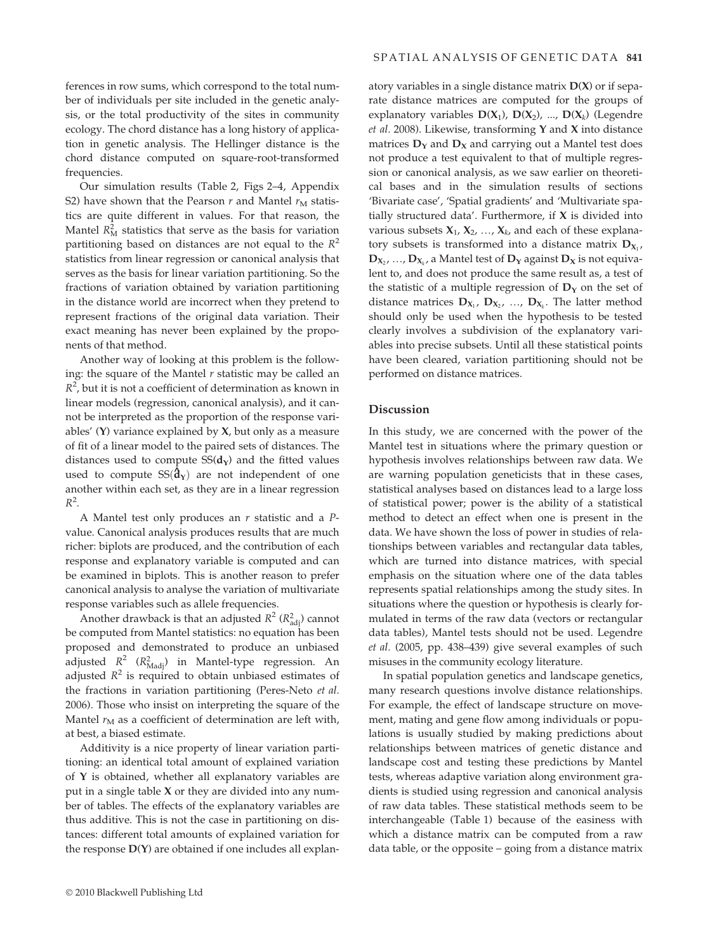ferences in row sums, which correspond to the total number of individuals per site included in the genetic analysis, or the total productivity of the sites in community ecology. The chord distance has a long history of application in genetic analysis. The Hellinger distance is the chord distance computed on square-root-transformed frequencies.

Our simulation results (Table 2, Figs 2–4, Appendix S2) have shown that the Pearson  $r$  and Mantel  $r<sub>M</sub>$  statistics are quite different in values. For that reason, the Mantel  $R_{\rm M}^2$  statistics that serve as the basis for variation partitioning based on distances are not equal to the  $R^2$ statistics from linear regression or canonical analysis that serves as the basis for linear variation partitioning. So the fractions of variation obtained by variation partitioning in the distance world are incorrect when they pretend to represent fractions of the original data variation. Their exact meaning has never been explained by the proponents of that method.

Another way of looking at this problem is the following: the square of the Mantel  $r$  statistic may be called an  $R^2$ , but it is not a coefficient of determination as known in linear models (regression, canonical analysis), and it cannot be interpreted as the proportion of the response variables' (Y) variance explained by  $X$ , but only as a measure of fit of a linear model to the paired sets of distances. The distances used to compute  $SS(d<sub>Y</sub>)$  and the fitted values used to compute  $SS(\mathbf{d}_Y)$  are not independent of one another within each set, as they are in a linear regression  $R^2$ .

A Mantel test only produces an  $r$  statistic and a  $P$ value. Canonical analysis produces results that are much richer: biplots are produced, and the contribution of each response and explanatory variable is computed and can be examined in biplots. This is another reason to prefer canonical analysis to analyse the variation of multivariate response variables such as allele frequencies.

Another drawback is that an adjusted  $R^2$  ( $R^2$ <sub>adj</sub>) cannot be computed from Mantel statistics: no equation has been proposed and demonstrated to produce an unbiased adjusted  $R^2$  ( $R^2_{\text{Madj}}$ ) in Mantel-type regression. An adjusted  $R^2$  is required to obtain unbiased estimates of the fractions in variation partitioning (Peres-Neto et al. 2006). Those who insist on interpreting the square of the Mantel  $r_M$  as a coefficient of determination are left with, at best, a biased estimate.

Additivity is a nice property of linear variation partitioning: an identical total amount of explained variation of Y is obtained, whether all explanatory variables are put in a single table  $X$  or they are divided into any number of tables. The effects of the explanatory variables are thus additive. This is not the case in partitioning on distances: different total amounts of explained variation for the response  $D(Y)$  are obtained if one includes all explan-

atory variables in a single distance matrix  $D(X)$  or if separate distance matrices are computed for the groups of explanatory variables  $D(X_1)$ ,  $D(X_2)$ , ...,  $D(X_k)$  (Legendre et al. 2008). Likewise, transforming  $Y$  and  $X$  into distance matrices  $D_Y$  and  $D_X$  and carrying out a Mantel test does not produce a test equivalent to that of multiple regression or canonical analysis, as we saw earlier on theoretical bases and in the simulation results of sections 'Bivariate case', 'Spatial gradients' and 'Multivariate spatially structured data'. Furthermore, if X is divided into various subsets  $X_1, X_2, ..., X_k$ , and each of these explanatory subsets is transformed into a distance matrix  $D_{X_1}$ ,  $D_{X_2}$ , ...,  $D_{X_k}$ , a Mantel test of  $D_Y$  against  $D_X$  is not equivalent to, and does not produce the same result as, a test of the statistic of a multiple regression of  $D<sub>Y</sub>$  on the set of distance matrices  $D_{X_1}$ ,  $D_{X_2}$ , ...,  $D_{X_k}$ . The latter method should only be used when the hypothesis to be tested clearly involves a subdivision of the explanatory variables into precise subsets. Until all these statistical points have been cleared, variation partitioning should not be performed on distance matrices.

## Discussion

In this study, we are concerned with the power of the Mantel test in situations where the primary question or hypothesis involves relationships between raw data. We are warning population geneticists that in these cases, statistical analyses based on distances lead to a large loss of statistical power; power is the ability of a statistical method to detect an effect when one is present in the data. We have shown the loss of power in studies of relationships between variables and rectangular data tables, which are turned into distance matrices, with special emphasis on the situation where one of the data tables represents spatial relationships among the study sites. In situations where the question or hypothesis is clearly formulated in terms of the raw data (vectors or rectangular data tables), Mantel tests should not be used. Legendre et al. (2005, pp. 438–439) give several examples of such misuses in the community ecology literature.

In spatial population genetics and landscape genetics, many research questions involve distance relationships. For example, the effect of landscape structure on movement, mating and gene flow among individuals or populations is usually studied by making predictions about relationships between matrices of genetic distance and landscape cost and testing these predictions by Mantel tests, whereas adaptive variation along environment gradients is studied using regression and canonical analysis of raw data tables. These statistical methods seem to be interchangeable (Table 1) because of the easiness with which a distance matrix can be computed from a raw data table, or the opposite – going from a distance matrix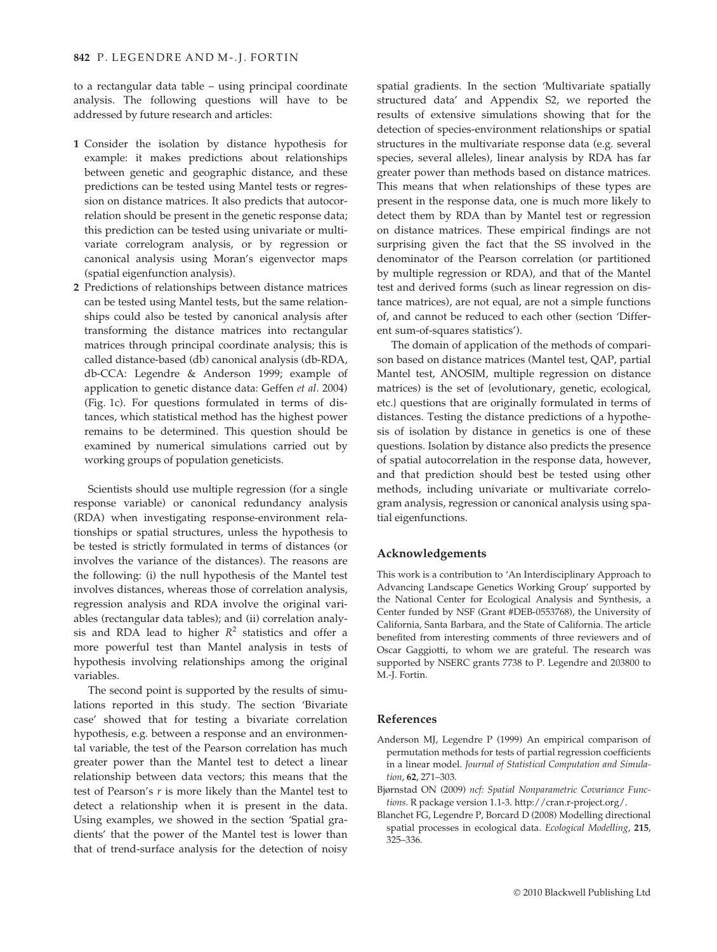to a rectangular data table – using principal coordinate analysis. The following questions will have to be addressed by future research and articles:

- 1 Consider the isolation by distance hypothesis for example: it makes predictions about relationships between genetic and geographic distance, and these predictions can be tested using Mantel tests or regression on distance matrices. It also predicts that autocorrelation should be present in the genetic response data; this prediction can be tested using univariate or multivariate correlogram analysis, or by regression or canonical analysis using Moran's eigenvector maps (spatial eigenfunction analysis).
- 2 Predictions of relationships between distance matrices can be tested using Mantel tests, but the same relationships could also be tested by canonical analysis after transforming the distance matrices into rectangular matrices through principal coordinate analysis; this is called distance-based (db) canonical analysis (db-RDA, db-CCA: Legendre & Anderson 1999; example of application to genetic distance data: Geffen et al. 2004) (Fig. 1c). For questions formulated in terms of distances, which statistical method has the highest power remains to be determined. This question should be examined by numerical simulations carried out by working groups of population geneticists.

Scientists should use multiple regression (for a single response variable) or canonical redundancy analysis (RDA) when investigating response-environment relationships or spatial structures, unless the hypothesis to be tested is strictly formulated in terms of distances (or involves the variance of the distances). The reasons are the following: (i) the null hypothesis of the Mantel test involves distances, whereas those of correlation analysis, regression analysis and RDA involve the original variables (rectangular data tables); and (ii) correlation analysis and RDA lead to higher  $R^2$  statistics and offer a more powerful test than Mantel analysis in tests of hypothesis involving relationships among the original variables.

The second point is supported by the results of simulations reported in this study. The section 'Bivariate case' showed that for testing a bivariate correlation hypothesis, e.g. between a response and an environmental variable, the test of the Pearson correlation has much greater power than the Mantel test to detect a linear relationship between data vectors; this means that the test of Pearson's  $r$  is more likely than the Mantel test to detect a relationship when it is present in the data. Using examples, we showed in the section 'Spatial gradients' that the power of the Mantel test is lower than that of trend-surface analysis for the detection of noisy spatial gradients. In the section 'Multivariate spatially structured data' and Appendix S2, we reported the results of extensive simulations showing that for the detection of species-environment relationships or spatial structures in the multivariate response data (e.g. several species, several alleles), linear analysis by RDA has far greater power than methods based on distance matrices. This means that when relationships of these types are present in the response data, one is much more likely to detect them by RDA than by Mantel test or regression on distance matrices. These empirical findings are not surprising given the fact that the SS involved in the denominator of the Pearson correlation (or partitioned by multiple regression or RDA), and that of the Mantel test and derived forms (such as linear regression on distance matrices), are not equal, are not a simple functions of, and cannot be reduced to each other (section 'Different sum-of-squares statistics').

The domain of application of the methods of comparison based on distance matrices (Mantel test, QAP, partial Mantel test, ANOSIM, multiple regression on distance matrices) is the set of {evolutionary, genetic, ecological, etc.} questions that are originally formulated in terms of distances. Testing the distance predictions of a hypothesis of isolation by distance in genetics is one of these questions. Isolation by distance also predicts the presence of spatial autocorrelation in the response data, however, and that prediction should best be tested using other methods, including univariate or multivariate correlogram analysis, regression or canonical analysis using spatial eigenfunctions.

#### Acknowledgements

This work is a contribution to 'An Interdisciplinary Approach to Advancing Landscape Genetics Working Group' supported by the National Center for Ecological Analysis and Synthesis, a Center funded by NSF (Grant #DEB-0553768), the University of California, Santa Barbara, and the State of California. The article benefited from interesting comments of three reviewers and of Oscar Gaggiotti, to whom we are grateful. The research was supported by NSERC grants 7738 to P. Legendre and 203800 to M.-J. Fortin.

#### References

- Anderson MJ, Legendre P (1999) An empirical comparison of permutation methods for tests of partial regression coefficients in a linear model. Journal of Statistical Computation and Simulation, 62, 271–303.
- Bjørnstad ON (2009) ncf: Spatial Nonparametric Covariance Functions. R package version 1.1-3. http://cran.r-project.org/.
- Blanchet FG, Legendre P, Borcard D (2008) Modelling directional spatial processes in ecological data. Ecological Modelling, 215, 325–336.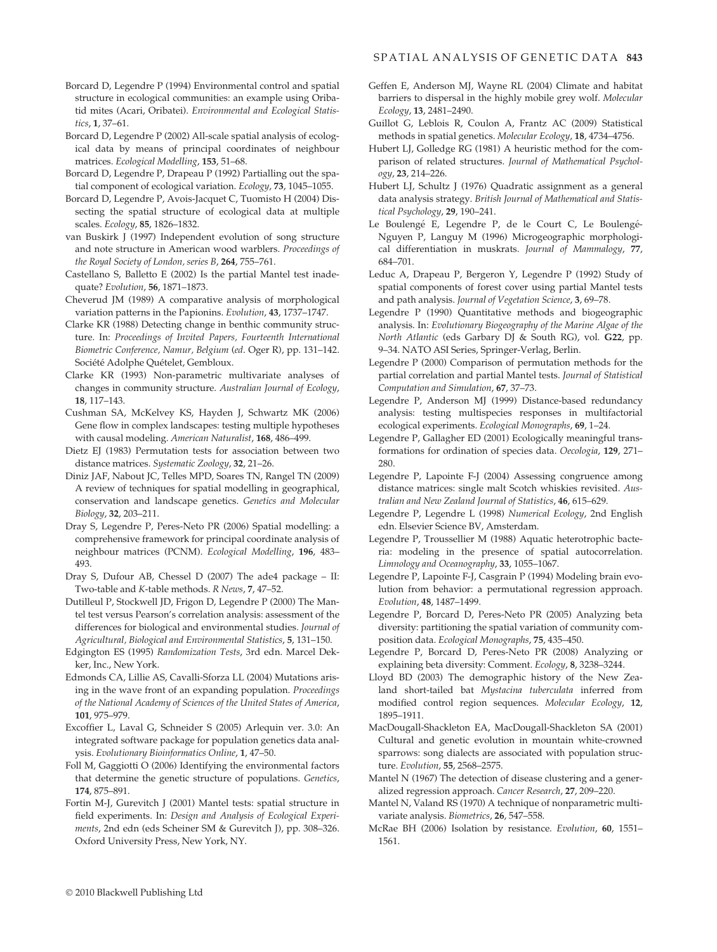- Borcard D, Legendre P (1994) Environmental control and spatial structure in ecological communities: an example using Oribatid mites (Acari, Oribatei). Environmental and Ecological Statistics, 1, 37–61.
- Borcard D, Legendre P (2002) All-scale spatial analysis of ecological data by means of principal coordinates of neighbour matrices. Ecological Modelling, 153, 51–68.
- Borcard D, Legendre P, Drapeau P (1992) Partialling out the spatial component of ecological variation. Ecology, 73, 1045–1055.
- Borcard D, Legendre P, Avois-Jacquet C, Tuomisto H (2004) Dissecting the spatial structure of ecological data at multiple scales. Ecology, 85, 1826–1832.
- van Buskirk J (1997) Independent evolution of song structure and note structure in American wood warblers. Proceedings of the Royal Society of London, series B, 264, 755–761.
- Castellano S, Balletto E (2002) Is the partial Mantel test inadequate? Evolution, 56, 1871–1873.
- Cheverud JM (1989) A comparative analysis of morphological variation patterns in the Papionins. Evolution, 43, 1737–1747.
- Clarke KR (1988) Detecting change in benthic community structure. In: Proceedings of Invited Papers, Fourteenth International Biometric Conference, Namur, Belgium (ed. Oger R), pp. 131–142. Société Adolphe Quételet, Gembloux.
- Clarke KR (1993) Non-parametric multivariate analyses of changes in community structure. Australian Journal of Ecology, 18, 117–143.
- Cushman SA, McKelvey KS, Hayden J, Schwartz MK (2006) Gene flow in complex landscapes: testing multiple hypotheses with causal modeling. American Naturalist, 168, 486–499.
- Dietz EJ (1983) Permutation tests for association between two distance matrices. Systematic Zoology, 32, 21–26.
- Diniz JAF, Nabout JC, Telles MPD, Soares TN, Rangel TN (2009) A review of techniques for spatial modelling in geographical, conservation and landscape genetics. Genetics and Molecular Biology, 32, 203–211.
- Dray S, Legendre P, Peres-Neto PR (2006) Spatial modelling: a comprehensive framework for principal coordinate analysis of neighbour matrices (PCNM). Ecological Modelling, 196, 483– 493.
- Dray S, Dufour AB, Chessel D (2007) The ade4 package II: Two-table and K-table methods. R News, 7, 47–52.
- Dutilleul P, Stockwell JD, Frigon D, Legendre P (2000) The Mantel test versus Pearson's correlation analysis: assessment of the differences for biological and environmental studies. Journal of Agricultural, Biological and Environmental Statistics, 5, 131–150.
- Edgington ES (1995) Randomization Tests, 3rd edn. Marcel Dekker, Inc., New York.
- Edmonds CA, Lillie AS, Cavalli-Sforza LL (2004) Mutations arising in the wave front of an expanding population. Proceedings of the National Academy of Sciences of the United States of America, 101, 975–979.
- Excoffier L, Laval G, Schneider S (2005) Arlequin ver. 3.0: An integrated software package for population genetics data analysis. Evolutionary Bioinformatics Online, 1, 47–50.
- Foll M, Gaggiotti O (2006) Identifying the environmental factors that determine the genetic structure of populations. Genetics, 174, 875–891.
- Fortin M-J, Gurevitch J (2001) Mantel tests: spatial structure in field experiments. In: Design and Analysis of Ecological Experiments, 2nd edn (eds Scheiner SM & Gurevitch J), pp. 308–326. Oxford University Press, New York, NY.
- Geffen E, Anderson MJ, Wayne RL (2004) Climate and habitat barriers to dispersal in the highly mobile grey wolf. Molecular Ecology, 13, 2481–2490.
- Guillot G, Leblois R, Coulon A, Frantz AC (2009) Statistical methods in spatial genetics. Molecular Ecology, 18, 4734–4756.
- Hubert LJ, Golledge RG (1981) A heuristic method for the comparison of related structures. Journal of Mathematical Psychology, 23, 214–226.
- Hubert LJ, Schultz J (1976) Quadratic assignment as a general data analysis strategy. British Journal of Mathematical and Statistical Psychology, 29, 190-241.
- Le Boulengé E, Legendre P, de le Court C, Le Boulengé-Nguyen P, Languy M (1996) Microgeographic morphological differentiation in muskrats. Journal of Mammalogy, 77, 684–701.
- Leduc A, Drapeau P, Bergeron Y, Legendre P (1992) Study of spatial components of forest cover using partial Mantel tests and path analysis. Journal of Vegetation Science, 3, 69–78.
- Legendre P (1990) Quantitative methods and biogeographic analysis. In: Evolutionary Biogeography of the Marine Algae of the North Atlantic (eds Garbary DJ & South RG), vol. G22, pp. 9–34. NATO ASI Series, Springer-Verlag, Berlin.
- Legendre P (2000) Comparison of permutation methods for the partial correlation and partial Mantel tests. Journal of Statistical Computation and Simulation, 67, 37–73.
- Legendre P, Anderson MJ (1999) Distance-based redundancy analysis: testing multispecies responses in multifactorial ecological experiments. Ecological Monographs, 69, 1–24.
- Legendre P, Gallagher ED (2001) Ecologically meaningful transformations for ordination of species data. Oecologia, 129, 271– 280.
- Legendre P, Lapointe F-J (2004) Assessing congruence among distance matrices: single malt Scotch whiskies revisited. Australian and New Zealand Journal of Statistics, 46, 615–629.
- Legendre P, Legendre L (1998) Numerical Ecology, 2nd English edn. Elsevier Science BV, Amsterdam.
- Legendre P, Troussellier M (1988) Aquatic heterotrophic bacteria: modeling in the presence of spatial autocorrelation. Limnology and Oceanography, 33, 1055–1067.
- Legendre P, Lapointe F-J, Casgrain P (1994) Modeling brain evolution from behavior: a permutational regression approach. Evolution, 48, 1487–1499.
- Legendre P, Borcard D, Peres-Neto PR (2005) Analyzing beta diversity: partitioning the spatial variation of community composition data. Ecological Monographs, 75, 435–450.
- Legendre P, Borcard D, Peres-Neto PR (2008) Analyzing or explaining beta diversity: Comment. Ecology, 8, 3238–3244.
- Lloyd BD (2003) The demographic history of the New Zealand short-tailed bat Mystacina tuberculata inferred from modified control region sequences. Molecular Ecology, 12, 1895–1911.
- MacDougall-Shackleton EA, MacDougall-Shackleton SA (2001) Cultural and genetic evolution in mountain white-crowned sparrows: song dialects are associated with population structure. Evolution, 55, 2568–2575.
- Mantel N (1967) The detection of disease clustering and a generalized regression approach. Cancer Research, 27, 209–220.
- Mantel N, Valand RS (1970) A technique of nonparametric multivariate analysis. Biometrics, 26, 547–558.
- McRae BH (2006) Isolation by resistance. Evolution, 60, 1551– 1561.